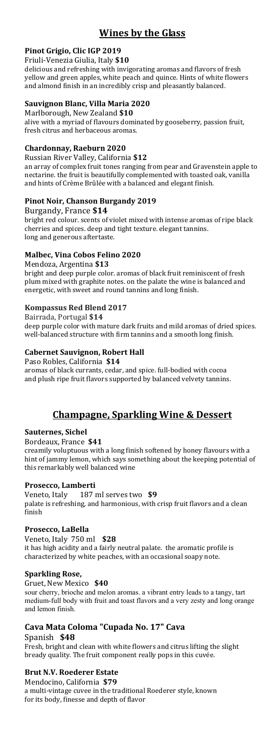## **Pinot Grigio, Clic IGP 2019**

Friuli-Venezia Giulia, Italy **\$10**

delicious and refreshing with invigorating aromas and flavors of fresh yellow and green apples, white peach and quince. Hints of white flowers and almond finish in an incredibly crisp and pleasantly balanced.

### **Sauvignon Blanc, Villa Maria 2020**

Marlborough, New Zealand **\$10** alive with a myriad of flavours dominated by gooseberry, passion fruit, fresh citrus and herbaceous aromas.

## **Chardonnay, Raeburn 2020**

Russian River Valley, California **\$12** an array of complex fruit tones ranging from pear and Gravenstein apple to nectarine. the fruit is beautifully complemented with toasted oak, vanilla and hints of Crème Brûlée with a balanced and elegant finish.

## **Pinot Noir, Chanson Burgandy 2019**

Burgandy, France **\$14** bright red colour. scents of violet mixed with intense aromas of ripe black cherries and spices. deep and tight texture. elegant tannins. long and generous aftertaste.

### **Malbec, Vina Cobos Felino 2020**

Mendoza, Argentina **\$13**

bright and deep purple color. aromas of black fruit reminiscent of fresh plum mixed with graphite notes. on the palate the wine is balanced and energetic, with sweet and round tannins and long finish.

### **Kompassus Red Blend 2017**

Bairrada, Portugal **\$14** deep purple color with mature dark fruits and mild aromas of dried spices. well-balanced structure with firm tannins and a smooth long finish.

### **Cabernet Sauvignon, Robert Hall**

Paso Robles, California **\$14**

aromas of black currants, cedar, and spice. full-bodied with cocoa and plush ripe fruit flavors supported by balanced velvety tannins.

# **Champagne, Sparkling Wine & Dessert**

## **Sauternes, Sichel**

Bordeaux, France **\$41**

creamily voluptuous with a long finish softened by honey flavours with a hint of jammy lemon, which says something about the keeping potential of this remarkably well balanced wine

### **Prosecco, Lamberti**

Veneto, Italy 187 ml serves two **\$9** palate is refreshing, and harmonious, with crisp fruit flavors and a clean finish

#### **Prosecco, LaBella**

Veneto, Italy 750 ml **\$28** it has high acidity and a fairly neutral palate. the aromatic profile is characterized by white peaches, with an occasional soapy note.

#### **Sparkling** Rose,

Gruet, New Mexico **\$40**

sour cherry, brioche and melon aromas. a vibrant entry leads to a tangy, tart medium-full body with fruit and toast flavors and a very zesty and long orange and lemon finish.

# **Cava Mata Coloma "Cupada No. 17" Cava**

Spanish **\$48**

Fresh, bright and clean with white flowers and citrus lifting the slight bready quality. The fruit component really pops in this cuvée.

## **Brut N.V. Roederer Estate**

Mendocino, California **\$79** a multi-vintage cuvee in the traditional Roederer style, known for its body, finesse and depth of flavor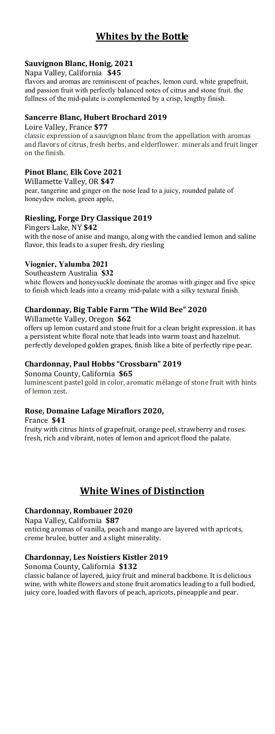# **Whites by the Bottle**

## **Sauvignon Blanc, Honig, 2021**

Napa Valley, California **\$45**

flavors and aromas are reminiscent of peaches, lemon curd, white grapefruit, and passion fruit with perfectly balanced notes of citrus and stone fruit. the fullness of the mid-palate is complemented by a crisp, lengthy finish.

#### **Sancerre Blanc, Hubert Brochard 2019**

Loire Valley, France **\$77**

classic expression of a sauvignon blanc from the appellation with aromas and flavors of citrus, fresh herbs, and elderflower. minerals and fruit linger on the finish.

#### **Pinot Blanc**, **Elk Cove 2021**

Willamette Valley, OR **\$47** pear, tangerine and ginger on the nose lead to a juicy, rounded palate of honeydew melon, green apple,

### **Riesling, Forge Dry Classique 2019**

Fingers Lake, NY **\$42** with the nose of anise and mango, along with the candied lemon and saline flavor, this leads to a super fresh, dry riesling

#### **Viognier, Yalumba 2021**

Southeastern Australia **\$32** white flowers and honeysuckle dominate the aromas with ginger and five spice to finish which leads into a creamy mid-palate with a silky textural finish.

## **Chardonnay, Big Table Farm "The Wild Bee" 2020**

Willamette Valley, Oregon **\$62**

offers up lemon custard and stone fruit for a clean bright expression. it has a persistent white floral note that leads into warm toast and hazelnut. perfectly developed golden grapes, finish like a bite of perfectly ripe pear.

#### **Chardonnay, Paul Hobbs "Crossbarn" 2019**

Sonoma County, California **\$65**

luminescent pastel gold in color, aromatic mélange of stone fruit with hints of lemon zest.

#### **Rose, Domaine Lafage Miraflors 2020,**

France **\$41**

fruity with citrus hints of grapefruit, orange peel, strawberry and roses. fresh, rich and vibrant, notes of lemon and apricot flood the palate.

# **White Wines of Distinction**

#### **Chardonnay, Rombauer 2020**

Napa Valley, California **\$87** enticing aromas of vanilla, peach and mango are layered with apricots,

creme brulee, butter and a slight minerality.

#### **Chardonnay, Les Noistiers Kistler 2019**

Sonoma County, California **\$132**

classic balance of layered, juicy fruit and mineral backbone. It is delicious wine, with white flowers and stone fruit aromatics leading to a full bodied, juicy core, loaded with flavors of peach, apricots, pineapple and pear.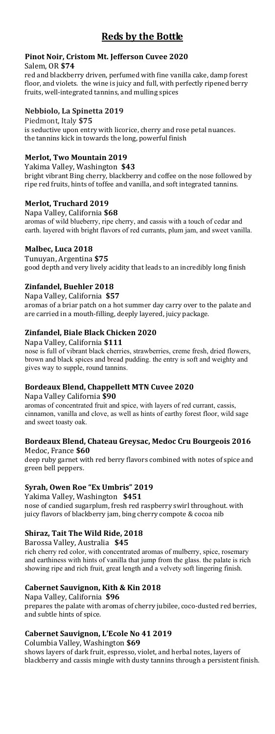# **Reds by the Bottle**

#### **Pinot Noir, Cristom Mt. Jefferson Cuvee 2020** Salem, OR **\$74**

red and blackberry driven, perfumed with fine vanilla cake, damp forest floor, and violets. the wine is juicy and full, with perfectly ripened berry fruits, well-integrated tannins, and mulling spices

#### **Nebbiolo, La Spinetta 2019**

Piedmont, Italy **\$75** is seductive upon entry with licorice, cherry and rose petal nuances. the tannins kick in towards the long, powerful finish

## **Merlot, Two Mountain 2019**

Yakima Valley, Washington **\$43** bright vibrant Bing cherry, blackberry and coffee on the nose followed by ripe red fruits, hints of toffee and vanilla, and soft integrated tannins.

### **Merlot, Truchard 2019**

Napa Valley, California **\$68** aromas of wild blueberry, ripe cherry, and cassis with a touch of cedar and earth. layered with bright flavors of red currants, plum jam, and sweet vanilla.

#### **Malbec, Luca 2018**

Tunuyan, Argentina **\$75** good depth and very lively acidity that leads to an incredibly long finish

### **Zinfandel, Buehler 2018**

Napa Valley, California **\$57** aromas of a briar patch on a hot summer day carry over to the palate and are carried in a mouth-filling, deeply layered, juicy package.

### **Zinfandel, Biale Black Chicken 2020**

Napa Valley, California **\$111** nose is full of vibrant black cherries, strawberries, creme fresh, dried flowers, brown and black spices and bread pudding. the entry is soft and weighty and gives way to supple, round tannins.

## **Bordeaux Blend, Chappellett MTN Cuvee 2020**

Napa Valley California **\$90**

aromas of concentrated fruit and spice, with layers of red currant, cassis, cinnamon, vanilla and clove, as well as hints of earthy forest floor, wild sage and sweet toasty oak.

#### **Bordeaux Blend, Chateau Greysac, Medoc Cru Bourgeois 2016** Medoc, France **\$60**

deep ruby garnet with red berry flavors combined with notes of spice and green bell peppers.

## **Syrah, Owen Roe "Ex Umbris" 2019**

Yakima Valley, Washington **\$451** nose of candied sugarplum, fresh red raspberry swirl throughout. with juicy flavors of blackberry jam, bing cherry compote & cocoa nib

## **Shiraz, Tait The Wild Ride, 2018**

Barossa Valley, Australia **\$45** rich cherry red color, with concentrated aromas of mulberry, spice, rosemary and earthiness with hints of vanilla that jump from the glass. the palate is rich showing ripe and rich fruit, great length and a velvety soft lingering finish.

## **Cabernet Sauvignon, Kith & Kin 2018**

Napa Valley, California **\$96** prepares the palate with aromas of cherry jubilee, coco-dusted red berries, and subtle hints of spice.

## **Cabernet Sauvignon, L'Ecole No 41 2019**

Columbia Valley, Washington **\$69** shows layers of dark fruit, espresso, violet, and herbal notes, layers of blackberry and cassis mingle with dusty tannins through a persistent finish.